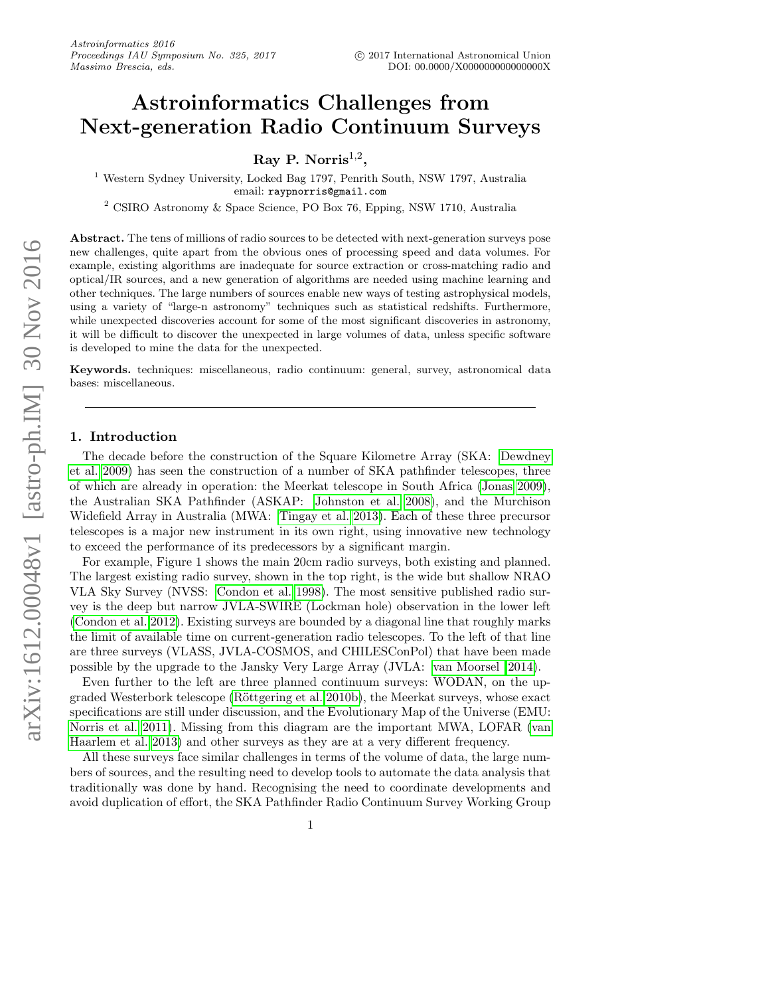# Astroinformatics Challenges from Next-generation Radio Continuum Surveys

 $\rm Ray~P.~Norris^{1,2},$ 

<sup>1</sup> Western Sydney University, Locked Bag 1797, Penrith South, NSW 1797, Australia email: raypnorris@gmail.com

<sup>2</sup> CSIRO Astronomy & Space Science, PO Box 76, Epping, NSW 1710, Australia

Abstract. The tens of millions of radio sources to be detected with next-generation surveys pose new challenges, quite apart from the obvious ones of processing speed and data volumes. For example, existing algorithms are inadequate for source extraction or cross-matching radio and optical/IR sources, and a new generation of algorithms are needed using machine learning and other techniques. The large numbers of sources enable new ways of testing astrophysical models, using a variety of "large-n astronomy" techniques such as statistical redshifts. Furthermore, while unexpected discoveries account for some of the most significant discoveries in astronomy, it will be difficult to discover the unexpected in large volumes of data, unless specific software is developed to mine the data for the unexpected.

Keywords. techniques: miscellaneous, radio continuum: general, survey, astronomical data bases: miscellaneous.

# 1. Introduction

The decade before the construction of the Square Kilometre Array (SKA: [Dewdney](#page-9-0) [et al. 2009\)](#page-9-0) has seen the construction of a number of SKA pathfinder telescopes, three of which are already in operation: the Meerkat telescope in South Africa [\(Jonas 2009\)](#page-9-1), the Australian SKA Pathfinder (ASKAP: [Johnston et al. 2008\)](#page-9-2), and the Murchison Widefield Array in Australia (MWA: [Tingay et al. 2013\)](#page-9-3). Each of these three precursor telescopes is a major new instrument in its own right, using innovative new technology to exceed the performance of its predecessors by a significant margin.

For example, Figure 1 shows the main 20cm radio surveys, both existing and planned. The largest existing radio survey, shown in the top right, is the wide but shallow NRAO VLA Sky Survey (NVSS: [Condon et al. 1998\)](#page-9-4). The most sensitive published radio survey is the deep but narrow JVLA-SWIRE (Lockman hole) observation in the lower left [\(Condon et al. 2012\)](#page-9-5). Existing surveys are bounded by a diagonal line that roughly marks the limit of available time on current-generation radio telescopes. To the left of that line are three surveys (VLASS, JVLA-COSMOS, and CHILESConPol) that have been made possible by the upgrade to the Jansky Very Large Array (JVLA: [van Moorsel 2014\)](#page-9-6).

Even further to the left are three planned continuum surveys: WODAN, on the upgraded Westerbork telescope (Röttgering et al. 2010b), the Meerkat surveys, whose exact specifications are still under discussion, and the Evolutionary Map of the Universe (EMU: [Norris et al. 2011\)](#page-9-8). Missing from this diagram are the important MWA, LOFAR [\(van](#page-9-9) [Haarlem et al. 2013\)](#page-9-9) and other surveys as they are at a very different frequency.

All these surveys face similar challenges in terms of the volume of data, the large numbers of sources, and the resulting need to develop tools to automate the data analysis that traditionally was done by hand. Recognising the need to coordinate developments and avoid duplication of effort, the SKA Pathfinder Radio Continuum Survey Working Group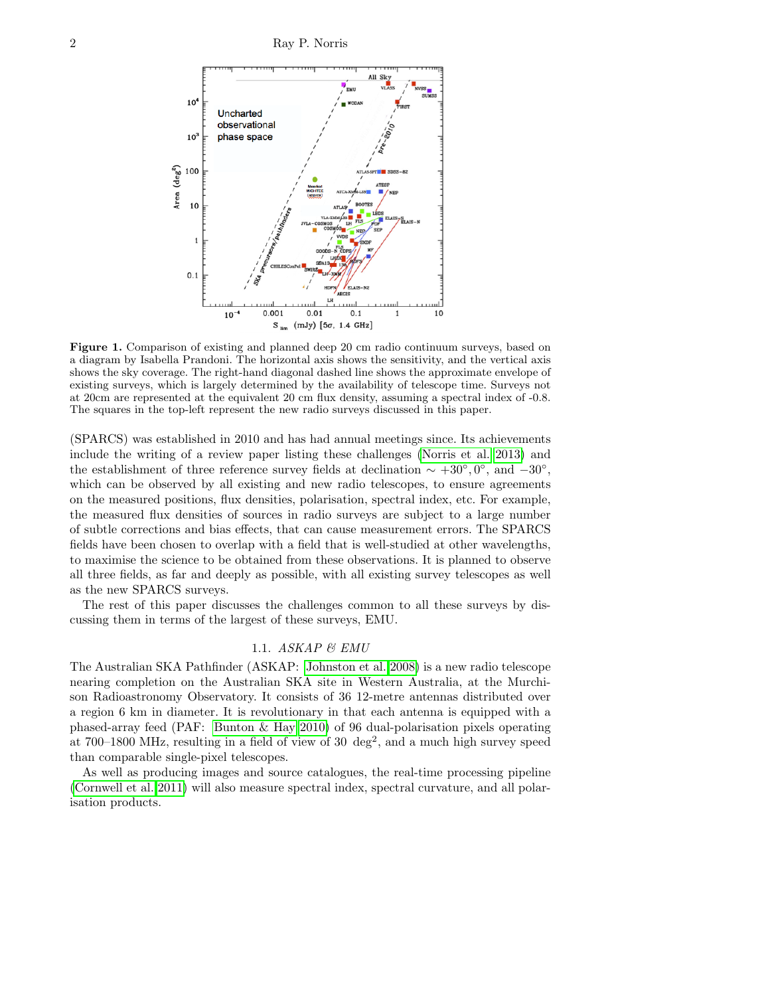

Figure 1. Comparison of existing and planned deep 20 cm radio continuum surveys, based on a diagram by Isabella Prandoni. The horizontal axis shows the sensitivity, and the vertical axis shows the sky coverage. The right-hand diagonal dashed line shows the approximate envelope of existing surveys, which is largely determined by the availability of telescope time. Surveys not at 20cm are represented at the equivalent 20 cm flux density, assuming a spectral index of -0.8. The squares in the top-left represent the new radio surveys discussed in this paper.

(SPARCS) was established in 2010 and has had annual meetings since. Its achievements include the writing of a review paper listing these challenges [\(Norris et al. 2013\)](#page-9-10) and the establishment of three reference survey fields at declination  $\sim +30^{\circ}, 0^{\circ}$ , and  $-30^{\circ}$ , which can be observed by all existing and new radio telescopes, to ensure agreements on the measured positions, flux densities, polarisation, spectral index, etc. For example, the measured flux densities of sources in radio surveys are subject to a large number of subtle corrections and bias effects, that can cause measurement errors. The SPARCS fields have been chosen to overlap with a field that is well-studied at other wavelengths, to maximise the science to be obtained from these observations. It is planned to observe all three fields, as far and deeply as possible, with all existing survey telescopes as well as the new SPARCS surveys.

The rest of this paper discusses the challenges common to all these surveys by discussing them in terms of the largest of these surveys, EMU.

# 1.1. ASKAP & EMU

The Australian SKA Pathfinder (ASKAP: [Johnston et al. 2008\)](#page-9-2) is a new radio telescope nearing completion on the Australian SKA site in Western Australia, at the Murchison Radioastronomy Observatory. It consists of 36 12-metre antennas distributed over a region 6 km in diameter. It is revolutionary in that each antenna is equipped with a phased-array feed (PAF: [Bunton & Hay 2010\)](#page-8-0) of 96 dual-polarisation pixels operating at 700–1800 MHz, resulting in a field of view of 30  $deg<sup>2</sup>$ , and a much high survey speed than comparable single-pixel telescopes.

As well as producing images and source catalogues, the real-time processing pipeline [\(Cornwell et al. 2011\)](#page-9-11) will also measure spectral index, spectral curvature, and all polarisation products.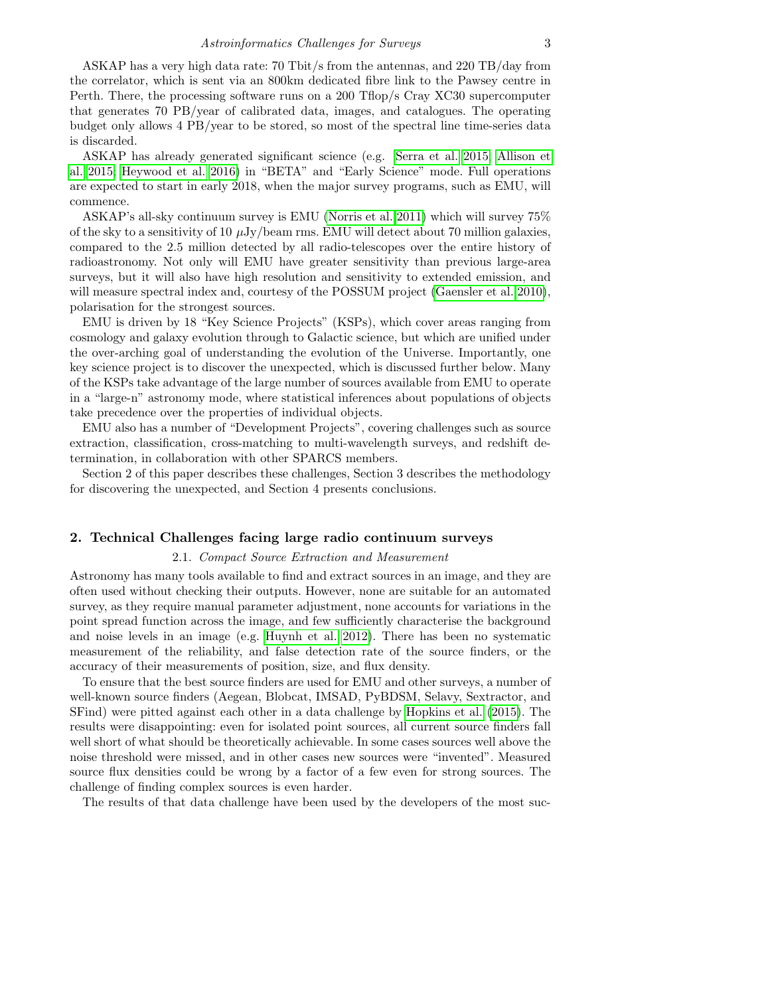ASKAP has a very high data rate: 70 Tbit/s from the antennas, and 220 TB/day from the correlator, which is sent via an 800km dedicated fibre link to the Pawsey centre in Perth. There, the processing software runs on a 200 Tflop/s Cray XC30 supercomputer that generates 70 PB/year of calibrated data, images, and catalogues. The operating budget only allows 4 PB/year to be stored, so most of the spectral line time-series data is discarded.

ASKAP has already generated significant science (e.g. [Serra et al. 2015;](#page-9-12) [Allison et](#page-8-1) [al. 2015;](#page-8-1) [Heywood et al. 2016\)](#page-9-13) in "BETA" and "Early Science" mode. Full operations are expected to start in early 2018, when the major survey programs, such as EMU, will commence.

ASKAP's all-sky continuum survey is EMU [\(Norris et al. 2011\)](#page-9-8) which will survey 75% of the sky to a sensitivity of 10  $\mu$ Jy/beam rms. EMU will detect about 70 million galaxies, compared to the 2.5 million detected by all radio-telescopes over the entire history of radioastronomy. Not only will EMU have greater sensitivity than previous large-area surveys, but it will also have high resolution and sensitivity to extended emission, and will measure spectral index and, courtesy of the POSSUM project [\(Gaensler et al. 2010\)](#page-9-14), polarisation for the strongest sources.

EMU is driven by 18 "Key Science Projects" (KSPs), which cover areas ranging from cosmology and galaxy evolution through to Galactic science, but which are unified under the over-arching goal of understanding the evolution of the Universe. Importantly, one key science project is to discover the unexpected, which is discussed further below. Many of the KSPs take advantage of the large number of sources available from EMU to operate in a "large-n" astronomy mode, where statistical inferences about populations of objects take precedence over the properties of individual objects.

EMU also has a number of "Development Projects", covering challenges such as source extraction, classification, cross-matching to multi-wavelength surveys, and redshift determination, in collaboration with other SPARCS members.

Section 2 of this paper describes these challenges, Section 3 describes the methodology for discovering the unexpected, and Section 4 presents conclusions.

# <span id="page-2-0"></span>2. Technical Challenges facing large radio continuum surveys

#### 2.1. Compact Source Extraction and Measurement

Astronomy has many tools available to find and extract sources in an image, and they are often used without checking their outputs. However, none are suitable for an automated survey, as they require manual parameter adjustment, none accounts for variations in the point spread function across the image, and few sufficiently characterise the background and noise levels in an image (e.g. [Huynh et al. 2012\)](#page-9-15). There has been no systematic measurement of the reliability, and false detection rate of the source finders, or the accuracy of their measurements of position, size, and flux density.

To ensure that the best source finders are used for EMU and other surveys, a number of well-known source finders (Aegean, Blobcat, IMSAD, PyBDSM, Selavy, Sextractor, and SFind) were pitted against each other in a data challenge by [Hopkins et al.](#page-9-16) [\(2015\)](#page-9-16). The results were disappointing: even for isolated point sources, all current source finders fall well short of what should be theoretically achievable. In some cases sources well above the noise threshold were missed, and in other cases new sources were "invented". Measured source flux densities could be wrong by a factor of a few even for strong sources. The challenge of finding complex sources is even harder.

The results of that data challenge have been used by the developers of the most suc-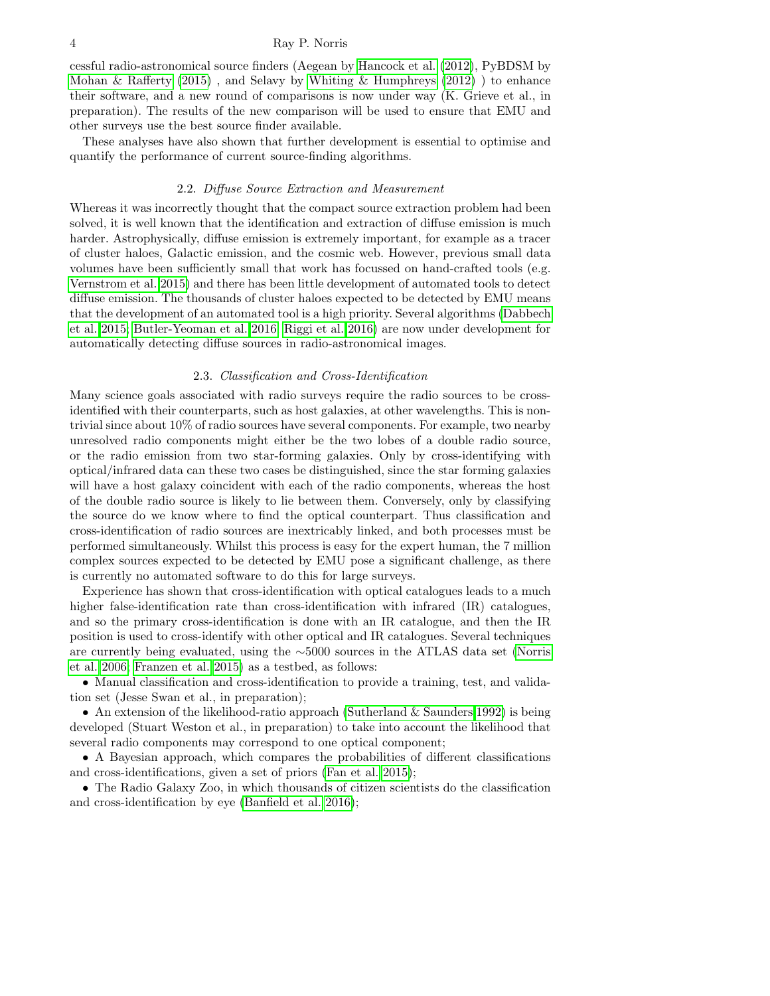#### 4 Ray P. Norris

cessful radio-astronomical source finders (Aegean by [Hancock et al.](#page-9-17) [\(2012\)](#page-9-17), PyBDSM by [Mohan & Rafferty](#page-9-18)  $(2015)$ , and Selavy by [Whiting & Humphreys](#page-9-19)  $(2012)$ ) to enhance their software, and a new round of comparisons is now under way (K. Grieve et al., in preparation). The results of the new comparison will be used to ensure that EMU and other surveys use the best source finder available.

These analyses have also shown that further development is essential to optimise and quantify the performance of current source-finding algorithms.

#### 2.2. Diffuse Source Extraction and Measurement

Whereas it was incorrectly thought that the compact source extraction problem had been solved, it is well known that the identification and extraction of diffuse emission is much harder. Astrophysically, diffuse emission is extremely important, for example as a tracer of cluster haloes, Galactic emission, and the cosmic web. However, previous small data volumes have been sufficiently small that work has focussed on hand-crafted tools (e.g. [Vernstrom et al. 2015\)](#page-9-20) and there has been little development of automated tools to detect diffuse emission. The thousands of cluster haloes expected to be detected by EMU means that the development of an automated tool is a high priority. Several algorithms [\(Dabbech](#page-9-21) [et al. 2015;](#page-9-21) [Butler-Yeoman et al. 2016;](#page-8-2) [Riggi et al. 2016\)](#page-9-22) are now under development for automatically detecting diffuse sources in radio-astronomical images.

## 2.3. Classification and Cross-Identification

Many science goals associated with radio surveys require the radio sources to be crossidentified with their counterparts, such as host galaxies, at other wavelengths. This is nontrivial since about 10% of radio sources have several components. For example, two nearby unresolved radio components might either be the two lobes of a double radio source, or the radio emission from two star-forming galaxies. Only by cross-identifying with optical/infrared data can these two cases be distinguished, since the star forming galaxies will have a host galaxy coincident with each of the radio components, whereas the host of the double radio source is likely to lie between them. Conversely, only by classifying the source do we know where to find the optical counterpart. Thus classification and cross-identification of radio sources are inextricably linked, and both processes must be performed simultaneously. Whilst this process is easy for the expert human, the 7 million complex sources expected to be detected by EMU pose a significant challenge, as there is currently no automated software to do this for large surveys.

Experience has shown that cross-identification with optical catalogues leads to a much higher false-identification rate than cross-identification with infrared (IR) catalogues, and so the primary cross-identification is done with an IR catalogue, and then the IR position is used to cross-identify with other optical and IR catalogues. Several techniques are currently being evaluated, using the ∼5000 sources in the ATLAS data set [\(Norris](#page-9-23) [et al. 2006;](#page-9-23) [Franzen et al. 2015\)](#page-9-24) as a testbed, as follows:

• Manual classification and cross-identification to provide a training, test, and validation set (Jesse Swan et al., in preparation);

• An extension of the likelihood-ratio approach [\(Sutherland & Saunders 1992\)](#page-9-25) is being developed (Stuart Weston et al., in preparation) to take into account the likelihood that several radio components may correspond to one optical component;

• A Bayesian approach, which compares the probabilities of different classifications and cross-identifications, given a set of priors [\(Fan et al. 2015\)](#page-9-26);

• The Radio Galaxy Zoo, in which thousands of citizen scientists do the classification and cross-identification by eye [\(Banfield et al. 2016\)](#page-8-3);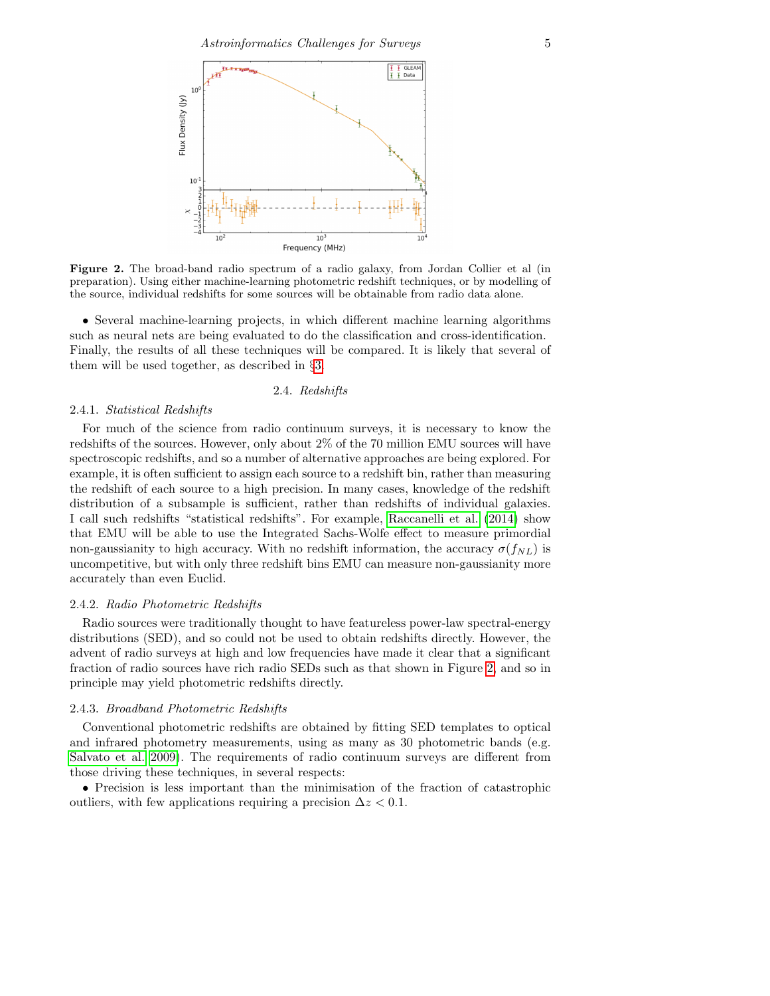

<span id="page-4-0"></span>Figure 2. The broad-band radio spectrum of a radio galaxy, from Jordan Collier et al (in preparation). Using either machine-learning photometric redshift techniques, or by modelling of the source, individual redshifts for some sources will be obtainable from radio data alone.

• Several machine-learning projects, in which different machine learning algorithms such as neural nets are being evaluated to do the classification and cross-identification. Finally, the results of all these techniques will be compared. It is likely that several of them will be used together, as described in §[3.](#page-5-0)

#### 2.4. Redshifts

#### 2.4.1. Statistical Redshifts

For much of the science from radio continuum surveys, it is necessary to know the redshifts of the sources. However, only about 2% of the 70 million EMU sources will have spectroscopic redshifts, and so a number of alternative approaches are being explored. For example, it is often sufficient to assign each source to a redshift bin, rather than measuring the redshift of each source to a high precision. In many cases, knowledge of the redshift distribution of a subsample is sufficient, rather than redshifts of individual galaxies. I call such redshifts "statistical redshifts". For example, [Raccanelli et al.](#page-9-27) [\(2014\)](#page-9-27) show that EMU will be able to use the Integrated Sachs-Wolfe effect to measure primordial non-gaussianity to high accuracy. With no redshift information, the accuracy  $\sigma(f_{NL})$  is uncompetitive, but with only three redshift bins EMU can measure non-gaussianity more accurately than even Euclid.

# 2.4.2. Radio Photometric Redshifts

Radio sources were traditionally thought to have featureless power-law spectral-energy distributions (SED), and so could not be used to obtain redshifts directly. However, the advent of radio surveys at high and low frequencies have made it clear that a significant fraction of radio sources have rich radio SEDs such as that shown in Figure [2,](#page-4-0) and so in principle may yield photometric redshifts directly.

#### 2.4.3. Broadband Photometric Redshifts

Conventional photometric redshifts are obtained by fitting SED templates to optical and infrared photometry measurements, using as many as 30 photometric bands (e.g. [Salvato et al. 2009\)](#page-9-28). The requirements of radio continuum surveys are different from those driving these techniques, in several respects:

• Precision is less important than the minimisation of the fraction of catastrophic outliers, with few applications requiring a precision  $\Delta z < 0.1$ .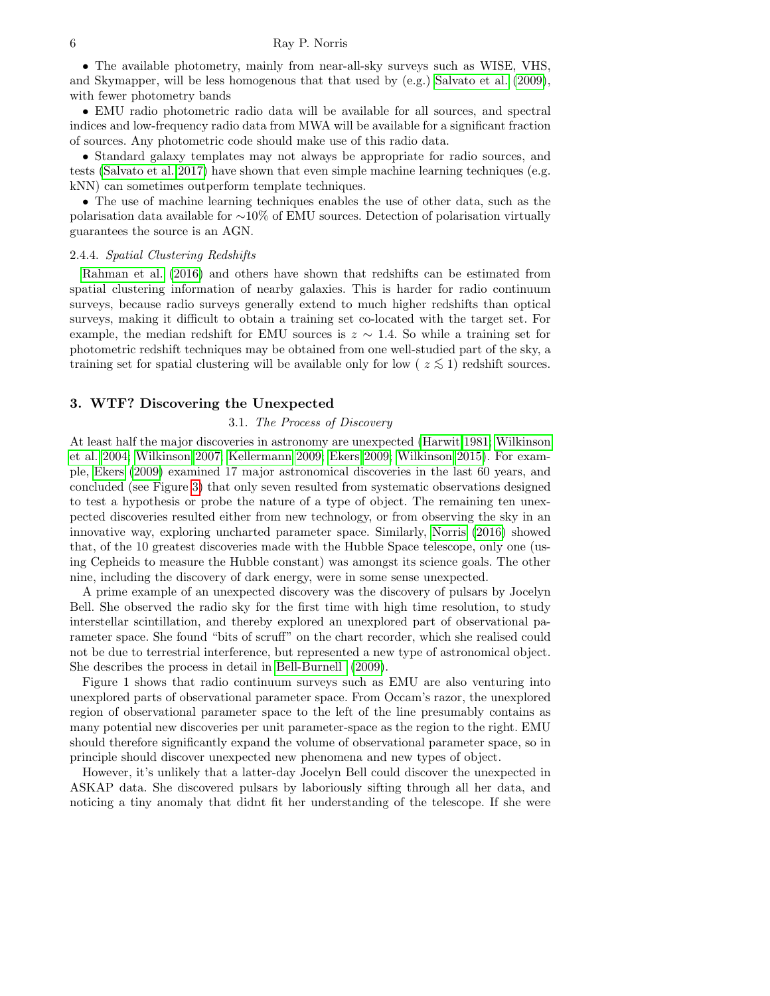• The available photometry, mainly from near-all-sky surveys such as WISE, VHS, and Skymapper, will be less homogenous that that used by (e.g.) [Salvato et al.](#page-9-28) [\(2009\)](#page-9-28), with fewer photometry bands

• EMU radio photometric radio data will be available for all sources, and spectral indices and low-frequency radio data from MWA will be available for a significant fraction of sources. Any photometric code should make use of this radio data.

• Standard galaxy templates may not always be appropriate for radio sources, and tests [\(Salvato et al. 2017\)](#page-9-29) have shown that even simple machine learning techniques (e.g. kNN) can sometimes outperform template techniques.

• The use of machine learning techniques enables the use of other data, such as the polarisation data available for ∼10% of EMU sources. Detection of polarisation virtually guarantees the source is an AGN.

### 2.4.4. Spatial Clustering Redshifts

[Rahman et al.](#page-9-30) [\(2016\)](#page-9-30) and others have shown that redshifts can be estimated from spatial clustering information of nearby galaxies. This is harder for radio continuum surveys, because radio surveys generally extend to much higher redshifts than optical surveys, making it difficult to obtain a training set co-located with the target set. For example, the median redshift for EMU sources is  $z \sim 1.4$ . So while a training set for photometric redshift techniques may be obtained from one well-studied part of the sky, a training set for spatial clustering will be available only for low ( $z \lesssim 1$ ) redshift sources.

# <span id="page-5-0"></span>3. WTF? Discovering the Unexpected

# 3.1. The Process of Discovery

At least half the major discoveries in astronomy are unexpected [\(Harwit 1981;](#page-9-31) [Wilkinson](#page-9-32) [et al. 2004;](#page-9-32) [Wilkinson 2007;](#page-9-33) [Kellermann 2009;](#page-9-34) [Ekers 2009;](#page-9-35) [Wilkinson 2015\)](#page-9-36). For example, [Ekers](#page-9-35) [\(2009\)](#page-9-35) examined 17 major astronomical discoveries in the last 60 years, and concluded (see Figure [3\)](#page-6-0) that only seven resulted from systematic observations designed to test a hypothesis or probe the nature of a type of object. The remaining ten unexpected discoveries resulted either from new technology, or from observing the sky in an innovative way, exploring uncharted parameter space. Similarly, [Norris](#page-9-37) [\(2016\)](#page-9-37) showed that, of the 10 greatest discoveries made with the Hubble Space telescope, only one (using Cepheids to measure the Hubble constant) was amongst its science goals. The other nine, including the discovery of dark energy, were in some sense unexpected.

A prime example of an unexpected discovery was the discovery of pulsars by Jocelyn Bell. She observed the radio sky for the first time with high time resolution, to study interstellar scintillation, and thereby explored an unexplored part of observational parameter space. She found "bits of scruff" on the chart recorder, which she realised could not be due to terrestrial interference, but represented a new type of astronomical object. She describes the process in detail in [Bell-Burnell](#page-8-4) [\(2009\)](#page-8-4).

Figure 1 shows that radio continuum surveys such as EMU are also venturing into unexplored parts of observational parameter space. From Occam's razor, the unexplored region of observational parameter space to the left of the line presumably contains as many potential new discoveries per unit parameter-space as the region to the right. EMU should therefore significantly expand the volume of observational parameter space, so in principle should discover unexpected new phenomena and new types of object.

However, it's unlikely that a latter-day Jocelyn Bell could discover the unexpected in ASKAP data. She discovered pulsars by laboriously sifting through all her data, and noticing a tiny anomaly that didnt fit her understanding of the telescope. If she were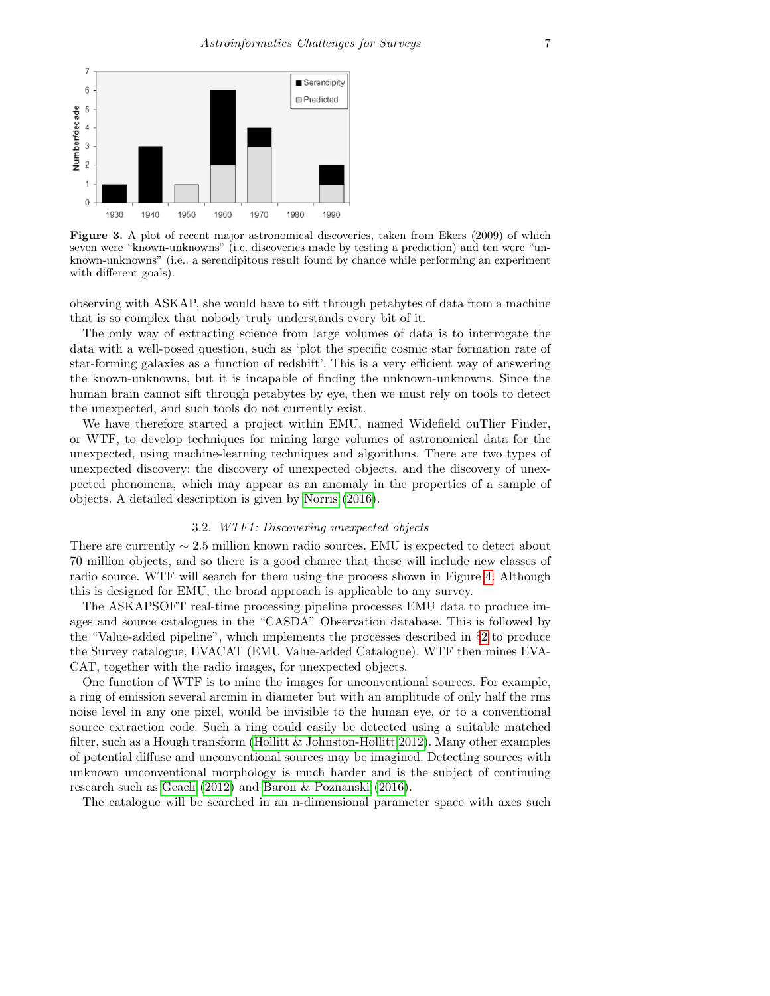

<span id="page-6-0"></span>Figure 3. A plot of recent major astronomical discoveries, taken from Ekers (2009) of which seven were "known-unknowns" (i.e. discoveries made by testing a prediction) and ten were "unknown-unknowns" (i.e.. a serendipitous result found by chance while performing an experiment with different goals).

observing with ASKAP, she would have to sift through petabytes of data from a machine that is so complex that nobody truly understands every bit of it.

The only way of extracting science from large volumes of data is to interrogate the data with a well-posed question, such as 'plot the specific cosmic star formation rate of star-forming galaxies as a function of redshift'. This is a very efficient way of answering the known-unknowns, but it is incapable of finding the unknown-unknowns. Since the human brain cannot sift through petabytes by eye, then we must rely on tools to detect the unexpected, and such tools do not currently exist.

We have therefore started a project within EMU, named Widefield ouTlier Finder, or WTF, to develop techniques for mining large volumes of astronomical data for the unexpected, using machine-learning techniques and algorithms. There are two types of unexpected discovery: the discovery of unexpected objects, and the discovery of unexpected phenomena, which may appear as an anomaly in the properties of a sample of objects. A detailed description is given by [Norris](#page-9-37) [\(2016\)](#page-9-37).

#### 3.2. WTF1: Discovering unexpected objects

There are currently ∼ 2.5 million known radio sources. EMU is expected to detect about 70 million objects, and so there is a good chance that these will include new classes of radio source. WTF will search for them using the process shown in Figure [4.](#page-7-0) Although this is designed for EMU, the broad approach is applicable to any survey.

The ASKAPSOFT real-time processing pipeline processes EMU data to produce images and source catalogues in the "CASDA" Observation database. This is followed by the "Value-added pipeline", which implements the processes described in §[2](#page-2-0) to produce the Survey catalogue, EVACAT (EMU Value-added Catalogue). WTF then mines EVA-CAT, together with the radio images, for unexpected objects.

One function of WTF is to mine the images for unconventional sources. For example, a ring of emission several arcmin in diameter but with an amplitude of only half the rms noise level in any one pixel, would be invisible to the human eye, or to a conventional source extraction code. Such a ring could easily be detected using a suitable matched filter, such as a Hough transform (Hollitt  $\&$  Johnston-Hollitt 2012). Many other examples of potential diffuse and unconventional sources may be imagined. Detecting sources with unknown unconventional morphology is much harder and is the subject of continuing research such as [Geach](#page-9-39) [\(2012\)](#page-9-39) and [Baron & Poznanski](#page-8-5) [\(2016\)](#page-8-5).

The catalogue will be searched in an n-dimensional parameter space with axes such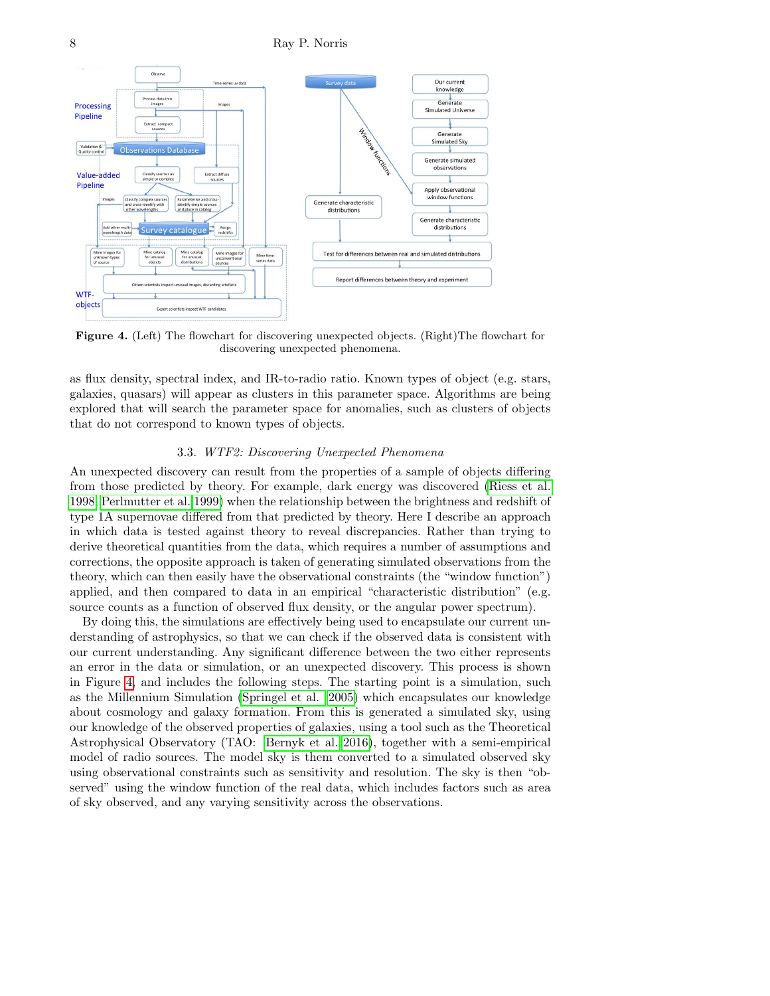8 Ray P. Norris



<span id="page-7-0"></span>Figure 4. (Left) The flowchart for discovering unexpected objects. (Right)The flowchart for discovering unexpected phenomena.

as flux density, spectral index, and IR-to-radio ratio. Known types of object (e.g. stars, galaxies, quasars) will appear as clusters in this parameter space. Algorithms are being explored that will search the parameter space for anomalies, such as clusters of objects that do not correspond to known types of objects.

#### 3.3. WTF2: Discovering Unexpected Phenomena

An unexpected discovery can result from the properties of a sample of objects differing from those predicted by theory. For example, dark energy was discovered [\(Riess et al.](#page-9-40) [1998;](#page-9-40) [Perlmutter et al. 1999\)](#page-9-41) when the relationship between the brightness and redshift of type 1A supernovae differed from that predicted by theory. Here I describe an approach in which data is tested against theory to reveal discrepancies. Rather than trying to derive theoretical quantities from the data, which requires a number of assumptions and corrections, the opposite approach is taken of generating simulated observations from the theory, which can then easily have the observational constraints (the "window function") applied, and then compared to data in an empirical "characteristic distribution" (e.g. source counts as a function of observed flux density, or the angular power spectrum).

By doing this, the simulations are effectively being used to encapsulate our current understanding of astrophysics, so that we can check if the observed data is consistent with our current understanding. Any significant difference between the two either represents an error in the data or simulation, or an unexpected discovery. This process is shown in Figure [4,](#page-7-0) and includes the following steps. The starting point is a simulation, such as the Millennium Simulation [\(Springel et al. 2005\)](#page-9-42) which encapsulates our knowledge about cosmology and galaxy formation. From this is generated a simulated sky, using our knowledge of the observed properties of galaxies, using a tool such as the Theoretical Astrophysical Observatory (TAO: [Bernyk et al. 2016\)](#page-8-6), together with a semi-empirical model of radio sources. The model sky is them converted to a simulated observed sky using observational constraints such as sensitivity and resolution. The sky is then "observed" using the window function of the real data, which includes factors such as area of sky observed, and any varying sensitivity across the observations.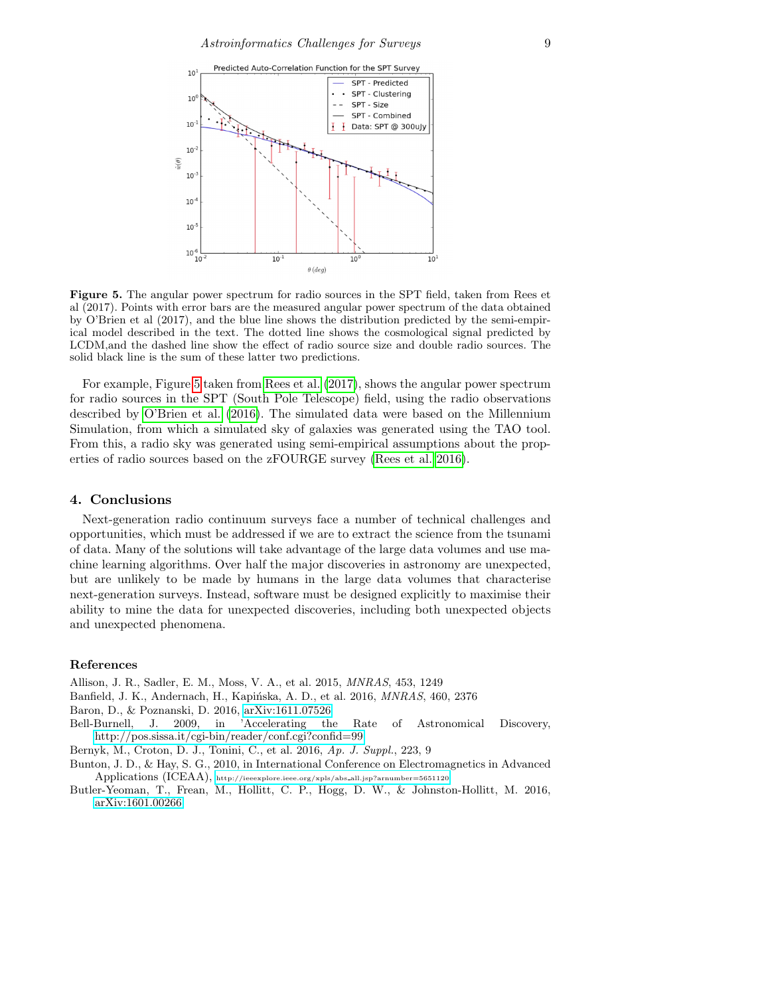

<span id="page-8-7"></span>Figure 5. The angular power spectrum for radio sources in the SPT field, taken from Rees et al (2017). Points with error bars are the measured angular power spectrum of the data obtained by O'Brien et al (2017), and the blue line shows the distribution predicted by the semi-empirical model described in the text. The dotted line shows the cosmological signal predicted by LCDM,and the dashed line show the effect of radio source size and double radio sources. The solid black line is the sum of these latter two predictions.

For example, Figure [5](#page-8-7) taken from [Rees et al.](#page-9-43) [\(2017\)](#page-9-43), shows the angular power spectrum for radio sources in the SPT (South Pole Telescope) field, using the radio observations described by [O'Brien et al.](#page-9-44) [\(2016\)](#page-9-44). The simulated data were based on the Millennium Simulation, from which a simulated sky of galaxies was generated using the TAO tool. From this, a radio sky was generated using semi-empirical assumptions about the properties of radio sources based on the zFOURGE survey [\(Rees et al. 2016\)](#page-9-45).

## 4. Conclusions

Next-generation radio continuum surveys face a number of technical challenges and opportunities, which must be addressed if we are to extract the science from the tsunami of data. Many of the solutions will take advantage of the large data volumes and use machine learning algorithms. Over half the major discoveries in astronomy are unexpected, but are unlikely to be made by humans in the large data volumes that characterise next-generation surveys. Instead, software must be designed explicitly to maximise their ability to mine the data for unexpected discoveries, including both unexpected objects and unexpected phenomena.

## References

<span id="page-8-1"></span>Allison, J. R., Sadler, E. M., Moss, V. A., et al. 2015, MNRAS, 453, 1249

- <span id="page-8-3"></span>Banfield, J. K., Andernach, H., Kapińska, A. D., et al. 2016, *MNRAS*, 460, 2376
- <span id="page-8-5"></span>Baron, D., & Poznanski, D. 2016, [arXiv:1611.07526](http://arxiv.org/abs/1611.07526)
- <span id="page-8-4"></span>Bell-Burnell, J. 2009, in 'Accelerating the Rate of Astronomical Discovery, <http://pos.sissa.it/cgi-bin/reader/conf.cgi?confid=99>
- <span id="page-8-6"></span>Bernyk, M., Croton, D. J., Tonini, C., et al. 2016, Ap. J. Suppl., 223, 9
- <span id="page-8-0"></span>Bunton, J. D., & Hay, S. G., 2010, in International Conference on Electromagnetics in Advanced Applications (ICEAA), [http://ieeexplore.ieee.org/xpls/abs](http://ieeexplore.ieee.org/xpls/abs_all.jsp?arnumber=5651120) all.jsp?arnumber=5651120
- <span id="page-8-2"></span>Butler-Yeoman, T., Frean, M., Hollitt, C. P., Hogg, D. W., & Johnston-Hollitt, M. 2016, [arXiv:1601.00266](http://arxiv.org/abs/1601.00266)